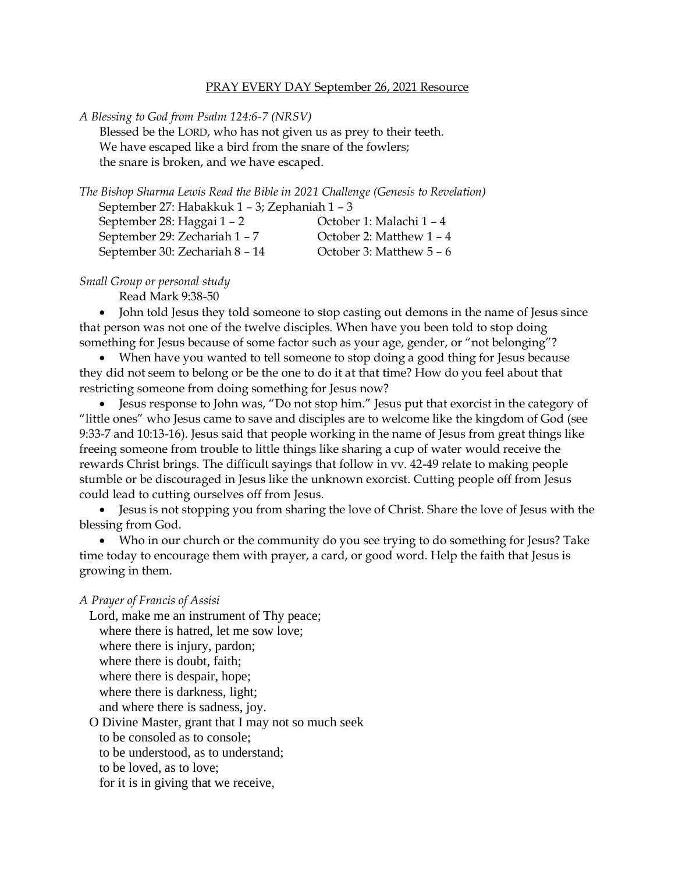## PRAY EVERY DAY September 26, 2021 Resource

*A Blessing to God from Psalm 124:6-7 (NRSV)*

Blessed be the LORD, who has not given us as prey to their teeth. We have escaped like a bird from the snare of the fowlers; the snare is broken, and we have escaped.

| The Bishop Sharma Lewis Read the Bible in 2021 Challenge (Genesis to Revelation) |                            |
|----------------------------------------------------------------------------------|----------------------------|
| September 27: Habakkuk 1 - 3; Zephaniah 1 - 3                                    |                            |
| September 28: Haggai 1 - 2                                                       | October 1: Malachi 1 - 4   |
| September 29: Zechariah 1 - 7                                                    | October 2: Matthew 1 - 4   |
| September 30: Zechariah 8 - 14                                                   | October 3: Matthew $5 - 6$ |

*Small Group or personal study*

Read Mark 9:38-50

• John told Jesus they told someone to stop casting out demons in the name of Jesus since that person was not one of the twelve disciples. When have you been told to stop doing something for Jesus because of some factor such as your age, gender, or "not belonging"?

• When have you wanted to tell someone to stop doing a good thing for Jesus because they did not seem to belong or be the one to do it at that time? How do you feel about that restricting someone from doing something for Jesus now?

• Jesus response to John was, "Do not stop him." Jesus put that exorcist in the category of "little ones" who Jesus came to save and disciples are to welcome like the kingdom of God (see 9:33-7 and 10:13-16). Jesus said that people working in the name of Jesus from great things like freeing someone from trouble to little things like sharing a cup of water would receive the rewards Christ brings. The difficult sayings that follow in vv. 42-49 relate to making people stumble or be discouraged in Jesus like the unknown exorcist. Cutting people off from Jesus could lead to cutting ourselves off from Jesus.

• Jesus is not stopping you from sharing the love of Christ. Share the love of Jesus with the blessing from God.

• Who in our church or the community do you see trying to do something for Jesus? Take time today to encourage them with prayer, a card, or good word. Help the faith that Jesus is growing in them.

## *A Prayer of Francis of Assisi*

Lord, make me an instrument of Thy peace; where there is hatred, let me sow love; where there is injury, pardon; where there is doubt, faith; where there is despair, hope; where there is darkness, light; and where there is sadness, joy. O Divine Master, grant that I may not so much seek

to be consoled as to console;

to be understood, as to understand;

to be loved, as to love;

for it is in giving that we receive,